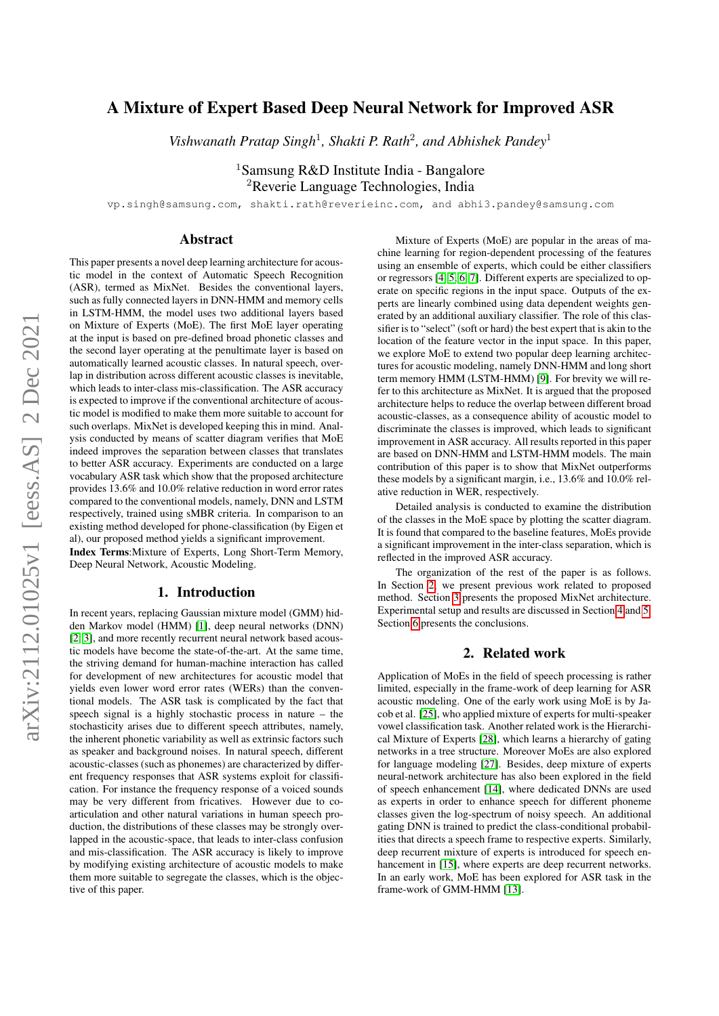# A Mixture of Expert Based Deep Neural Network for Improved ASR

Vishwanath Pratap Singh<sup>1</sup>, Shakti P. Rath<sup>2</sup>, and Abhishek Pandey<sup>1</sup>

<sup>1</sup>Samsung R&D Institute India - Bangalore <sup>2</sup>Reverie Language Technologies, India

vp.singh@samsung.com, shakti.rath@reverieinc.com, and abhi3.pandey@samsung.com

## Abstract

This paper presents a novel deep learning architecture for acoustic model in the context of Automatic Speech Recognition (ASR), termed as MixNet. Besides the conventional layers, such as fully connected layers in DNN-HMM and memory cells in LSTM-HMM, the model uses two additional layers based on Mixture of Experts (MoE). The first MoE layer operating at the input is based on pre-defined broad phonetic classes and the second layer operating at the penultimate layer is based on automatically learned acoustic classes. In natural speech, overlap in distribution across different acoustic classes is inevitable, which leads to inter-class mis-classification. The ASR accuracy is expected to improve if the conventional architecture of acoustic model is modified to make them more suitable to account for such overlaps. MixNet is developed keeping this in mind. Analysis conducted by means of scatter diagram verifies that MoE indeed improves the separation between classes that translates to better ASR accuracy. Experiments are conducted on a large vocabulary ASR task which show that the proposed architecture provides 13.6% and 10.0% relative reduction in word error rates compared to the conventional models, namely, DNN and LSTM respectively, trained using sMBR criteria. In comparison to an existing method developed for phone-classification (by Eigen et al), our proposed method yields a significant improvement. Index Terms:Mixture of Experts, Long Short-Term Memory,

Deep Neural Network, Acoustic Modeling.

## 1. Introduction

In recent years, replacing Gaussian mixture model (GMM) hidden Markov model (HMM) [\[1\]](#page-4-0), deep neural networks (DNN) [\[2,](#page-4-1) [3\]](#page-4-2), and more recently recurrent neural network based acoustic models have become the state-of-the-art. At the same time, the striving demand for human-machine interaction has called for development of new architectures for acoustic model that yields even lower word error rates (WERs) than the conventional models. The ASR task is complicated by the fact that speech signal is a highly stochastic process in nature – the stochasticity arises due to different speech attributes, namely, the inherent phonetic variability as well as extrinsic factors such as speaker and background noises. In natural speech, different acoustic-classes (such as phonemes) are characterized by different frequency responses that ASR systems exploit for classification. For instance the frequency response of a voiced sounds may be very different from fricatives. However due to coarticulation and other natural variations in human speech production, the distributions of these classes may be strongly overlapped in the acoustic-space, that leads to inter-class confusion and mis-classification. The ASR accuracy is likely to improve by modifying existing architecture of acoustic models to make them more suitable to segregate the classes, which is the objective of this paper.

Mixture of Experts (MoE) are popular in the areas of machine learning for region-dependent processing of the features using an ensemble of experts, which could be either classifiers or regressors [\[4,](#page-4-3) [5,](#page-4-4) [6,](#page-4-5) [7\]](#page-4-6). Different experts are specialized to operate on specific regions in the input space. Outputs of the experts are linearly combined using data dependent weights generated by an additional auxiliary classifier. The role of this classifier is to "select" (soft or hard) the best expert that is akin to the location of the feature vector in the input space. In this paper, we explore MoE to extend two popular deep learning architectures for acoustic modeling, namely DNN-HMM and long short term memory HMM (LSTM-HMM) [\[9\]](#page-4-7). For brevity we will refer to this architecture as MixNet. It is argued that the proposed architecture helps to reduce the overlap between different broad acoustic-classes, as a consequence ability of acoustic model to discriminate the classes is improved, which leads to significant improvement in ASR accuracy. All results reported in this paper are based on DNN-HMM and LSTM-HMM models. The main contribution of this paper is to show that MixNet outperforms these models by a significant margin, i.e., 13.6% and 10.0% relative reduction in WER, respectively.

Detailed analysis is conducted to examine the distribution of the classes in the MoE space by plotting the scatter diagram. It is found that compared to the baseline features, MoEs provide a significant improvement in the inter-class separation, which is reflected in the improved ASR accuracy.

The organization of the rest of the paper is as follows. In Section [2,](#page-0-0) we present previous work related to proposed method. Section [3](#page-1-0) presents the proposed MixNet architecture. Experimental setup and results are discussed in Section [4](#page-2-0) and [5.](#page-3-0) Section [6](#page-3-1) presents the conclusions.

#### 2. Related work

<span id="page-0-0"></span>Application of MoEs in the field of speech processing is rather limited, especially in the frame-work of deep learning for ASR acoustic modeling. One of the early work using MoE is by Jacob et al. [\[25\]](#page-4-8), who applied mixture of experts for multi-speaker vowel classification task. Another related work is the Hierarchical Mixture of Experts [\[28\]](#page-4-9), which learns a hierarchy of gating networks in a tree structure. Moreover MoEs are also explored for language modeling [\[27\]](#page-4-10). Besides, deep mixture of experts neural-network architecture has also been explored in the field of speech enhancement [\[14\]](#page-4-11), where dedicated DNNs are used as experts in order to enhance speech for different phoneme classes given the log-spectrum of noisy speech. An additional gating DNN is trained to predict the class-conditional probabilities that directs a speech frame to respective experts. Similarly, deep recurrent mixture of experts is introduced for speech en-hancement in [\[15\]](#page-4-12), where experts are deep recurrent networks. In an early work, MoE has been explored for ASR task in the frame-work of GMM-HMM [\[13\]](#page-4-13).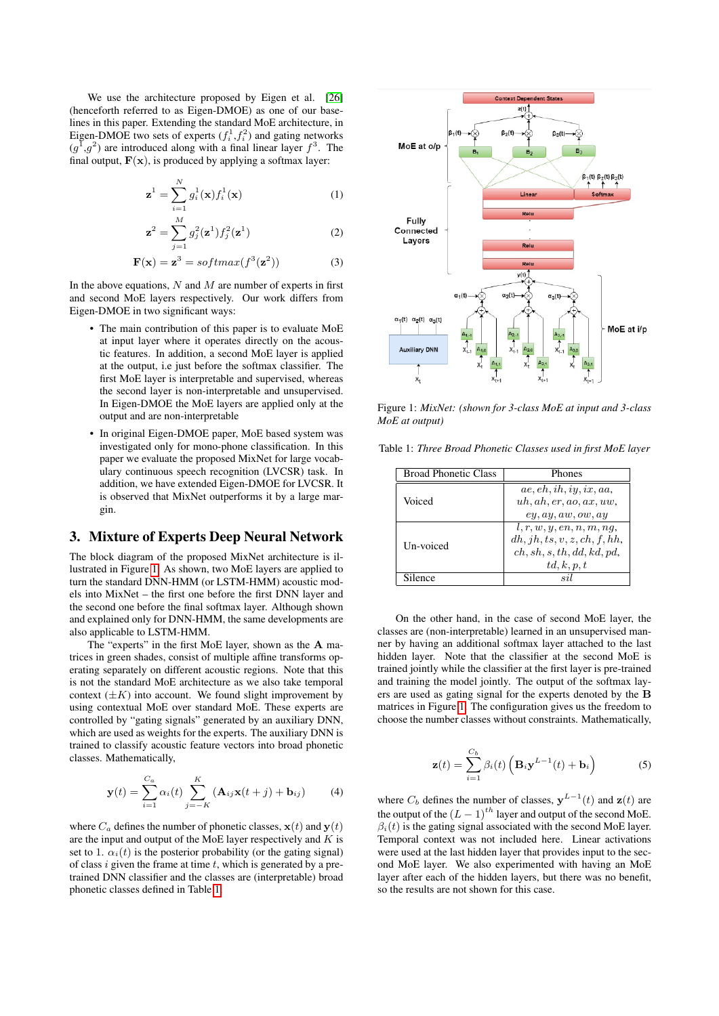We use the architecture proposed by Eigen et al. [\[26\]](#page-4-14) (henceforth referred to as Eigen-DMOE) as one of our baselines in this paper. Extending the standard MoE architecture, in Eigen-DMOE two sets of experts  $(f_i^1, f_i^2)$  and gating networks  $(g^1, g^2)$  are introduced along with a final linear layer  $f^3$ . The final output,  $F(x)$ , is produced by applying a softmax layer:

$$
\mathbf{z}^{1} = \sum_{i=1}^{N} g_{i}^{1}(\mathbf{x}) f_{i}^{1}(\mathbf{x})
$$
 (1)

$$
\mathbf{z}^2 = \sum_{j=1}^{M} g_j^2(\mathbf{z}^1) f_j^2(\mathbf{z}^1)
$$
 (2)

$$
\mathbf{F}(\mathbf{x}) = \mathbf{z}^3 = softmax(f^3(\mathbf{z}^2))
$$
 (3)

In the above equations,  $N$  and  $M$  are number of experts in first and second MoE layers respectively. Our work differs from Eigen-DMOE in two significant ways:

- The main contribution of this paper is to evaluate MoE at input layer where it operates directly on the acoustic features. In addition, a second MoE layer is applied at the output, i.e just before the softmax classifier. The first MoE layer is interpretable and supervised, whereas the second layer is non-interpretable and unsupervised. In Eigen-DMOE the MoE layers are applied only at the output and are non-interpretable
- In original Eigen-DMOE paper, MoE based system was investigated only for mono-phone classification. In this paper we evaluate the proposed MixNet for large vocabulary continuous speech recognition (LVCSR) task. In addition, we have extended Eigen-DMOE for LVCSR. It is observed that MixNet outperforms it by a large margin.

# <span id="page-1-0"></span>3. Mixture of Experts Deep Neural Network

The block diagram of the proposed MixNet architecture is illustrated in Figure [1.](#page-1-1) As shown, two MoE layers are applied to turn the standard DNN-HMM (or LSTM-HMM) acoustic models into MixNet – the first one before the first DNN layer and the second one before the final softmax layer. Although shown and explained only for DNN-HMM, the same developments are also applicable to LSTM-HMM.

The "experts" in the first MoE layer, shown as the A matrices in green shades, consist of multiple affine transforms operating separately on different acoustic regions. Note that this is not the standard MoE architecture as we also take temporal context  $(\pm K)$  into account. We found slight improvement by using contextual MoE over standard MoE. These experts are controlled by "gating signals" generated by an auxiliary DNN, which are used as weights for the experts. The auxiliary DNN is trained to classify acoustic feature vectors into broad phonetic classes. Mathematically,

$$
\mathbf{y}(t) = \sum_{i=1}^{C_a} \alpha_i(t) \sum_{j=-K}^{K} (\mathbf{A}_{ij}\mathbf{x}(t+j) + \mathbf{b}_{ij})
$$
(4)

where  $C_a$  defines the number of phonetic classes,  $\mathbf{x}(t)$  and  $\mathbf{v}(t)$ are the input and output of the MoE layer respectively and  $K$  is set to 1.  $\alpha_i(t)$  is the posterior probability (or the gating signal) of class i given the frame at time  $t$ , which is generated by a pretrained DNN classifier and the classes are (interpretable) broad phonetic classes defined in Table [1.](#page-1-2)

<span id="page-1-1"></span>

Figure 1: *MixNet: (shown for 3-class MoE at input and 3-class MoE at output)*

<span id="page-1-2"></span>Table 1: *Three Broad Phonetic Classes used in first MoE layer*

| <b>Broad Phonetic Class</b> | Phones                                                                                              |
|-----------------------------|-----------------------------------------------------------------------------------------------------|
| Voiced                      | ae, eh, ih, iy, ix, aa,<br>uh, ah, er, ao, ax, uw,<br>ey, ay, aw, ow, ay                            |
| Un-voiced                   | l, r, w, y, en, n, m, nq,<br>dh, jh, ts, v, z, ch, f, hh,<br>ch, sh, s, th, dd, kd, pd,<br>td,k,p,t |
| Silence                     | Q1                                                                                                  |

On the other hand, in the case of second MoE layer, the classes are (non-interpretable) learned in an unsupervised manner by having an additional softmax layer attached to the last hidden layer. Note that the classifier at the second MoE is trained jointly while the classifier at the first layer is pre-trained and training the model jointly. The output of the softmax layers are used as gating signal for the experts denoted by the B matrices in Figure [1.](#page-1-1) The configuration gives us the freedom to choose the number classes without constraints. Mathematically,

$$
\mathbf{z}(t) = \sum_{i=1}^{C_b} \beta_i(t) \left( \mathbf{B}_i \mathbf{y}^{L-1}(t) + \mathbf{b}_i \right)
$$
 (5)

<span id="page-1-3"></span>where  $C_b$  defines the number of classes,  $y^{L-1}(t)$  and  $z(t)$  are the output of the  $(L - 1)^{th}$  layer and output of the second MoE.  $\beta_i(t)$  is the gating signal associated with the second MoE layer. Temporal context was not included here. Linear activations were used at the last hidden layer that provides input to the second MoE layer. We also experimented with having an MoE layer after each of the hidden layers, but there was no benefit, so the results are not shown for this case.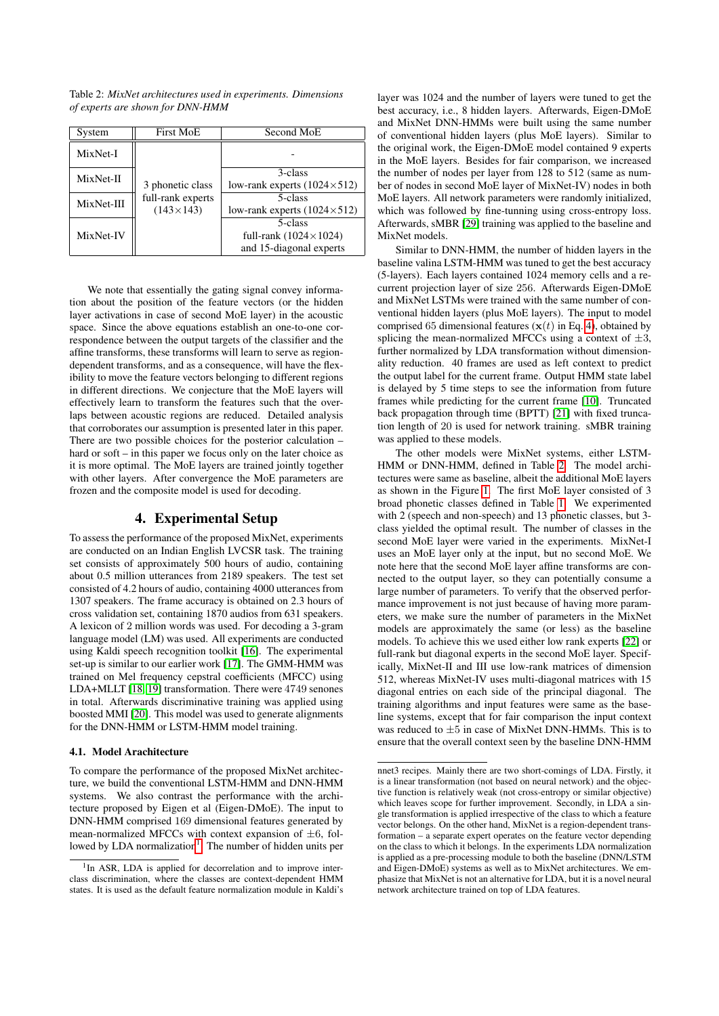| System     | <b>First MoE</b>                                          | Second MoE                           |
|------------|-----------------------------------------------------------|--------------------------------------|
| MixNet-I   | 3 phonetic class<br>full-rank experts<br>$(143\times143)$ |                                      |
| MixNet-II  |                                                           | 3-class                              |
|            |                                                           | low-rank experts $(1024 \times 512)$ |
| MixNet-III |                                                           | 5-class                              |
|            |                                                           | low-rank experts $(1024 \times 512)$ |
| MixNet-IV  |                                                           | 5-class                              |
|            |                                                           | full-rank $(1024 \times 1024)$       |
|            |                                                           | and 15-diagonal experts              |

<span id="page-2-2"></span>Table 2: *MixNet architectures used in experiments. Dimensions of experts are shown for DNN-HMM*

We note that essentially the gating signal convey information about the position of the feature vectors (or the hidden layer activations in case of second MoE layer) in the acoustic space. Since the above equations establish an one-to-one correspondence between the output targets of the classifier and the affine transforms, these transforms will learn to serve as regiondependent transforms, and as a consequence, will have the flexibility to move the feature vectors belonging to different regions in different directions. We conjecture that the MoE layers will effectively learn to transform the features such that the overlaps between acoustic regions are reduced. Detailed analysis that corroborates our assumption is presented later in this paper. There are two possible choices for the posterior calculation – hard or soft – in this paper we focus only on the later choice as it is more optimal. The MoE layers are trained jointly together with other layers. After convergence the MoE parameters are frozen and the composite model is used for decoding.

#### 4. Experimental Setup

<span id="page-2-0"></span>To assess the performance of the proposed MixNet, experiments are conducted on an Indian English LVCSR task. The training set consists of approximately 500 hours of audio, containing about 0.5 million utterances from 2189 speakers. The test set consisted of 4.2 hours of audio, containing 4000 utterances from 1307 speakers. The frame accuracy is obtained on 2.3 hours of cross validation set, containing 1870 audios from 631 speakers. A lexicon of 2 million words was used. For decoding a 3-gram language model (LM) was used. All experiments are conducted using Kaldi speech recognition toolkit [\[16\]](#page-4-15). The experimental set-up is similar to our earlier work [\[17\]](#page-4-16). The GMM-HMM was trained on Mel frequency cepstral coefficients (MFCC) using LDA+MLLT [\[18,](#page-4-17) [19\]](#page-4-18) transformation. There were 4749 senones in total. Afterwards discriminative training was applied using boosted MMI [\[20\]](#page-4-19). This model was used to generate alignments for the DNN-HMM or LSTM-HMM model training.

#### 4.1. Model Arachitecture

To compare the performance of the proposed MixNet architecture, we build the conventional LSTM-HMM and DNN-HMM systems. We also contrast the performance with the architecture proposed by Eigen et al (Eigen-DMoE). The input to DNN-HMM comprised 169 dimensional features generated by mean-normalized MFCCs with context expansion of  $\pm 6$ , fol-lowed by LDA normalization<sup>[1](#page-2-1)</sup>. The number of hidden units per

layer was 1024 and the number of layers were tuned to get the best accuracy, i.e., 8 hidden layers. Afterwards, Eigen-DMoE and MixNet DNN-HMMs were built using the same number of conventional hidden layers (plus MoE layers). Similar to the original work, the Eigen-DMoE model contained 9 experts in the MoE layers. Besides for fair comparison, we increased the number of nodes per layer from 128 to 512 (same as number of nodes in second MoE layer of MixNet-IV) nodes in both MoE layers. All network parameters were randomly initialized, which was followed by fine-tunning using cross-entropy loss. Afterwards, sMBR [\[29\]](#page-4-20) training was applied to the baseline and MixNet models.

Similar to DNN-HMM, the number of hidden layers in the baseline valina LSTM-HMM was tuned to get the best accuracy (5-layers). Each layers contained 1024 memory cells and a recurrent projection layer of size 256. Afterwards Eigen-DMoE and MixNet LSTMs were trained with the same number of conventional hidden layers (plus MoE layers). The input to model comprised 65 dimensional features  $(x(t)$  in Eq. [4\)](#page-1-3), obtained by splicing the mean-normalized MFCCs using a context of  $\pm 3$ , further normalized by LDA transformation without dimensionality reduction. 40 frames are used as left context to predict the output label for the current frame. Output HMM state label is delayed by 5 time steps to see the information from future frames while predicting for the current frame [\[10\]](#page-4-21). Truncated back propagation through time (BPTT) [\[21\]](#page-4-22) with fixed truncation length of 20 is used for network training. sMBR training was applied to these models.

The other models were MixNet systems, either LSTM-HMM or DNN-HMM, defined in Table [2.](#page-2-2) The model architectures were same as baseline, albeit the additional MoE layers as shown in the Figure [1.](#page-1-1) The first MoE layer consisted of 3 broad phonetic classes defined in Table [1.](#page-1-2) We experimented with 2 (speech and non-speech) and 13 phonetic classes, but 3 class yielded the optimal result. The number of classes in the second MoE layer were varied in the experiments. MixNet-I uses an MoE layer only at the input, but no second MoE. We note here that the second MoE layer affine transforms are connected to the output layer, so they can potentially consume a large number of parameters. To verify that the observed performance improvement is not just because of having more parameters, we make sure the number of parameters in the MixNet models are approximately the same (or less) as the baseline models. To achieve this we used either low rank experts [\[22\]](#page-4-23) or full-rank but diagonal experts in the second MoE layer. Specifically, MixNet-II and III use low-rank matrices of dimension 512, whereas MixNet-IV uses multi-diagonal matrices with 15 diagonal entries on each side of the principal diagonal. The training algorithms and input features were same as the baseline systems, except that for fair comparison the input context was reduced to  $\pm 5$  in case of MixNet DNN-HMMs. This is to ensure that the overall context seen by the baseline DNN-HMM

<span id="page-2-1"></span><sup>&</sup>lt;sup>1</sup>In ASR, LDA is applied for decorrelation and to improve interclass discrimination, where the classes are context-dependent HMM states. It is used as the default feature normalization module in Kaldi's

nnet3 recipes. Mainly there are two short-comings of LDA. Firstly, it is a linear transformation (not based on neural network) and the objective function is relatively weak (not cross-entropy or similar objective) which leaves scope for further improvement. Secondly, in LDA a single transformation is applied irrespective of the class to which a feature vector belongs. On the other hand, MixNet is a region-dependent transformation – a separate expert operates on the feature vector depending on the class to which it belongs. In the experiments LDA normalization is applied as a pre-processing module to both the baseline (DNN/LSTM and Eigen-DMoE) systems as well as to MixNet architectures. We emphasize that MixNet is not an alternative for LDA, but it is a novel neural network architecture trained on top of LDA features.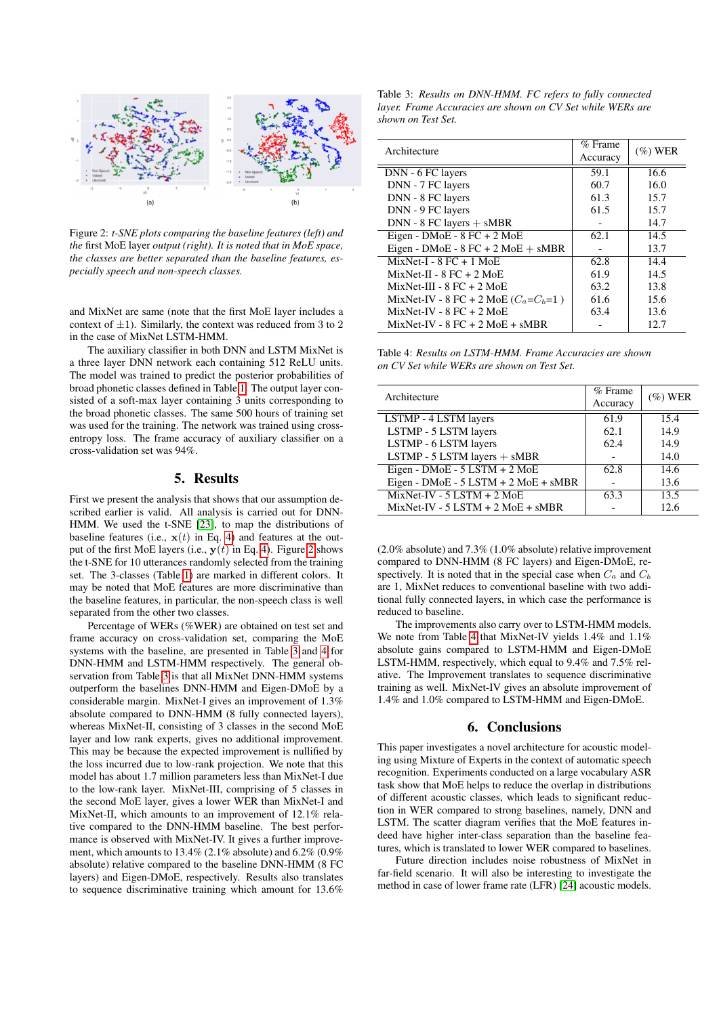<span id="page-3-2"></span>

Figure 2: *t-SNE plots comparing the baseline features (left) and the* first MoE layer *output (right). It is noted that in MoE space, the classes are better separated than the baseline features, especially speech and non-speech classes.*

and MixNet are same (note that the first MoE layer includes a context of  $\pm 1$ ). Similarly, the context was reduced from 3 to 2 in the case of MixNet LSTM-HMM.

The auxiliary classifier in both DNN and LSTM MixNet is a three layer DNN network each containing 512 ReLU units. The model was trained to predict the posterior probabilities of broad phonetic classes defined in Table [1.](#page-1-2) The output layer consisted of a soft-max layer containing 3 units corresponding to the broad phonetic classes. The same 500 hours of training set was used for the training. The network was trained using crossentropy loss. The frame accuracy of auxiliary classifier on a cross-validation set was 94%.

#### 5. Results

<span id="page-3-0"></span>First we present the analysis that shows that our assumption described earlier is valid. All analysis is carried out for DNN-HMM. We used the t-SNE [\[23\]](#page-4-24), to map the distributions of baseline features (i.e.,  $x(t)$  in Eq. [4\)](#page-1-3) and features at the output of the first MoE layers (i.e.,  $y(t)$  in Eq. [4\)](#page-1-3). Figure [2](#page-3-2) shows the t-SNE for 10 utterances randomly selected from the training set. The 3-classes (Table [1\)](#page-1-2) are marked in different colors. It may be noted that MoE features are more discriminative than the baseline features, in particular, the non-speech class is well separated from the other two classes.

Percentage of WERs (%WER) are obtained on test set and frame accuracy on cross-validation set, comparing the MoE systems with the baseline, are presented in Table [3](#page-3-3) and [4](#page-3-4) for DNN-HMM and LSTM-HMM respectively. The general observation from Table [3](#page-3-3) is that all MixNet DNN-HMM systems outperform the baselines DNN-HMM and Eigen-DMoE by a considerable margin. MixNet-I gives an improvement of 1.3% absolute compared to DNN-HMM (8 fully connected layers), whereas MixNet-II, consisting of 3 classes in the second MoE layer and low rank experts, gives no additional improvement. This may be because the expected improvement is nullified by the loss incurred due to low-rank projection. We note that this model has about 1.7 million parameters less than MixNet-I due to the low-rank layer. MixNet-III, comprising of 5 classes in the second MoE layer, gives a lower WER than MixNet-I and MixNet-II, which amounts to an improvement of 12.1% relative compared to the DNN-HMM baseline. The best performance is observed with MixNet-IV. It gives a further improvement, which amounts to 13.4% (2.1% absolute) and 6.2% (0.9% absolute) relative compared to the baseline DNN-HMM (8 FC layers) and Eigen-DMoE, respectively. Results also translates to sequence discriminative training which amount for 13.6%

<span id="page-3-3"></span>Table 3: *Results on DNN-HMM. FC refers to fully connected layer. Frame Accuracies are shown on CV Set while WERs are shown on Test Set.*

| Architecture                               | $%$ Frame<br>Accuracy | $(\%)$ WER |
|--------------------------------------------|-----------------------|------------|
| DNN - 6 FC layers                          | 59.1                  | 16.6       |
| DNN - 7 FC layers                          | 60.7                  | 16.0       |
| DNN - 8 FC layers                          | 61.3                  | 15.7       |
| DNN - 9 FC layers                          | 61.5                  | 15.7       |
| $DNN - 8$ FC layers $+$ sMBR               |                       | 14.7       |
| Eigen - $DMoE - 8 FC + 2 MoE$              | 62.1                  | 14.5       |
| Eigen - DMoE - $8$ FC + $2$ MoE + $sMBR$   |                       | 13.7       |
| $MixNet-I - 8 FC + 1 MOE$                  | 62.8                  | 14.4       |
| $MixNet-II - 8 FC + 2 MOE$                 | 61.9                  | 14.5       |
| $MixNet-III - 8 FC + 2 MOE$                | 63.2                  | 13.8       |
| MixNet-IV - 8 FC + 2 MoE $(C_a = C_b = 1)$ | 61.6                  | 15.6       |
| $MixNet-IV - 8 FC + 2 MOE$                 | 63.4                  | 13.6       |
| $MixNet-IV - 8 FC + 2 MOE + sMBR$          |                       | 12.7       |

<span id="page-3-4"></span>Table 4: *Results on LSTM-HMM. Frame Accuracies are shown on CV Set while WERs are shown on Test Set.*

| Architecture                               | $%$ Frame | $(\%)$ WER |
|--------------------------------------------|-----------|------------|
|                                            | Accuracy  |            |
| LSTMP - 4 LSTM layers                      | 61.9      | 15.4       |
| LSTMP - 5 LSTM layers                      | 62.1      | 14.9       |
| LSTMP - 6 LSTM layers                      | 62.4      | 14.9       |
| LSTMP - 5 LSTM layers + sMBR               |           | 14.0       |
| Eigen - DMoE - 5 LSTM + 2 MoE              | 62.8      | 14.6       |
| Eigen - $DMoE - 5$ LSTM + $2$ MoE + $sMBR$ |           | 13.6       |
| $MixNet-IV - 5 LSTM + 2 MOE$               | 63.3      | 13.5       |
| $MixNet-IV - 5 LSTM + 2 MOE + sMBR$        |           | 12.6       |

(2.0% absolute) and 7.3% (1.0% absolute) relative improvement compared to DNN-HMM (8 FC layers) and Eigen-DMoE, respectively. It is noted that in the special case when  $C_a$  and  $C_b$ are 1, MixNet reduces to conventional baseline with two additional fully connected layers, in which case the performance is reduced to baseline.

The improvements also carry over to LSTM-HMM models. We note from Table [4](#page-3-4) that MixNet-IV yields 1.4% and 1.1% absolute gains compared to LSTM-HMM and Eigen-DMoE LSTM-HMM, respectively, which equal to 9.4% and 7.5% relative. The Improvement translates to sequence discriminative training as well. MixNet-IV gives an absolute improvement of 1.4% and 1.0% compared to LSTM-HMM and Eigen-DMoE.

#### 6. Conclusions

<span id="page-3-1"></span>This paper investigates a novel architecture for acoustic modeling using Mixture of Experts in the context of automatic speech recognition. Experiments conducted on a large vocabulary ASR task show that MoE helps to reduce the overlap in distributions of different acoustic classes, which leads to significant reduction in WER compared to strong baselines, namely, DNN and LSTM. The scatter diagram verifies that the MoE features indeed have higher inter-class separation than the baseline features, which is translated to lower WER compared to baselines.

Future direction includes noise robustness of MixNet in far-field scenario. It will also be interesting to investigate the method in case of lower frame rate (LFR) [\[24\]](#page-4-25) acoustic models.